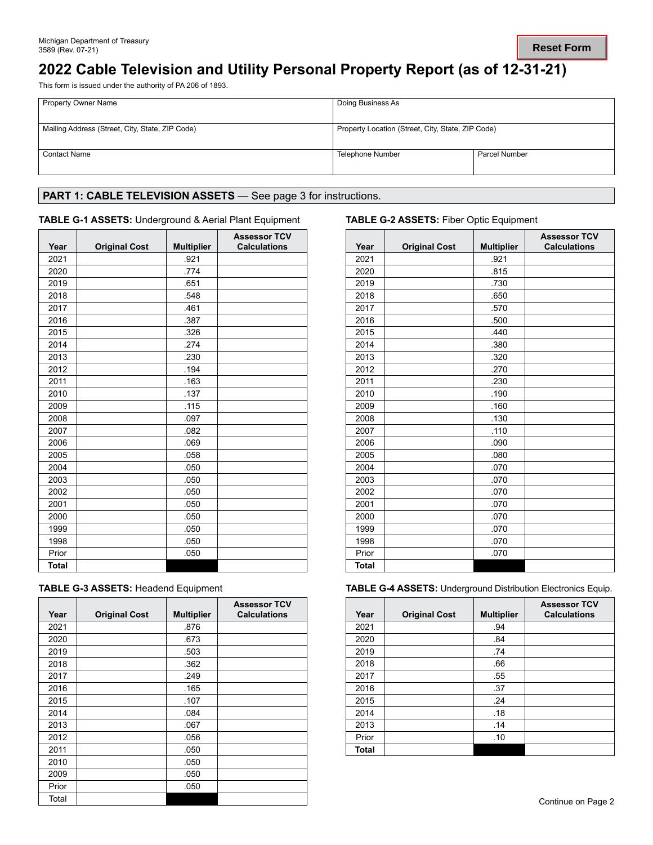# **2022 Cable Television and Utility Personal Property Report (as of 12-31-21)**

This form is issued under the authority of PA 206 of 1893.

| <b>Property Owner Name</b>                      | Doing Business As                                 |               |
|-------------------------------------------------|---------------------------------------------------|---------------|
| Mailing Address (Street, City, State, ZIP Code) | Property Location (Street, City, State, ZIP Code) |               |
| <b>Contact Name</b>                             | Telephone Number                                  | Parcel Number |

## PART 1: CABLE TELEVISION ASSETS - See page 3 for instructions.

### **TABLE G-1 ASSETS:** Underground & Aerial Plant Equipment **TABLE G-2 ASSETS:** Fiber Optic Equipment

| Year         | <b>Original Cost</b> | <b>Multiplier</b> | <b>Assessor TCV</b><br><b>Calculations</b> |
|--------------|----------------------|-------------------|--------------------------------------------|
| 2021         |                      | .921              |                                            |
| 2020         |                      | .774              |                                            |
| 2019         |                      | .651              |                                            |
| 2018         |                      | .548              |                                            |
| 2017         |                      | .461              |                                            |
| 2016         |                      | .387              |                                            |
| 2015         |                      | .326              |                                            |
| 2014         |                      | .274              |                                            |
| 2013         |                      | .230              |                                            |
| 2012         |                      | .194              |                                            |
| 2011         |                      | .163              |                                            |
| 2010         |                      | .137              |                                            |
| 2009         |                      | .115              |                                            |
| 2008         |                      | .097              |                                            |
| 2007         |                      | .082              |                                            |
| 2006         |                      | .069              |                                            |
| 2005         |                      | .058              |                                            |
| 2004         |                      | .050              |                                            |
| 2003         |                      | .050              |                                            |
| 2002         |                      | .050              |                                            |
| 2001         |                      | .050              |                                            |
| 2000         |                      | .050              |                                            |
| 1999         |                      | .050              |                                            |
| 1998         |                      | .050              |                                            |
| Prior        |                      | .050              |                                            |
| <b>Total</b> |                      |                   |                                            |

| <b>TABLE G-3 ASSETS: Headend Equipment</b> |
|--------------------------------------------|
|--------------------------------------------|

| Year  | <b>Original Cost</b> | <b>Multiplier</b> | <b>Assessor TCV</b><br><b>Calculations</b> |
|-------|----------------------|-------------------|--------------------------------------------|
| 2021  |                      | .876              |                                            |
| 2020  |                      | .673              |                                            |
| 2019  |                      | .503              |                                            |
| 2018  |                      | .362              |                                            |
| 2017  |                      | .249              |                                            |
| 2016  |                      | .165              |                                            |
| 2015  |                      | .107              |                                            |
| 2014  |                      | .084              |                                            |
| 2013  |                      | .067              |                                            |
| 2012  |                      | .056              |                                            |
| 2011  |                      | .050              |                                            |
| 2010  |                      | .050              |                                            |
| 2009  |                      | .050              |                                            |
| Prior |                      | .050              |                                            |
| Total |                      |                   |                                            |

| Year         | <b>Original Cost</b> | <b>Multiplier</b> | <b>Assessor TCV</b><br><b>Calculations</b> |
|--------------|----------------------|-------------------|--------------------------------------------|
| 2021         |                      | .921              |                                            |
| 2020         |                      | .815              |                                            |
| 2019         |                      | .730              |                                            |
| 2018         |                      | .650              |                                            |
| 2017         |                      | .570              |                                            |
| 2016         |                      | .500              |                                            |
| 2015         |                      | .440              |                                            |
| 2014         |                      | .380              |                                            |
| 2013         |                      | .320              |                                            |
| 2012         |                      | .270              |                                            |
| 2011         |                      | .230              |                                            |
| 2010         |                      | .190              |                                            |
| 2009         |                      | .160              |                                            |
| 2008         |                      | .130              |                                            |
| 2007         |                      | .110              |                                            |
| 2006         |                      | .090              |                                            |
| 2005         |                      | .080              |                                            |
| 2004         |                      | .070              |                                            |
| 2003         |                      | .070              |                                            |
| 2002         |                      | .070              |                                            |
| 2001         |                      | .070              |                                            |
| 2000         |                      | .070              |                                            |
| 1999         |                      | .070              |                                            |
| 1998         |                      | .070              |                                            |
| Prior        |                      | .070              |                                            |
| <b>Total</b> |                      |                   |                                            |

**TABLE G-4 ASSETS: Underground Distribution Electronics Equip.** 

| Year  | <b>Original Cost</b> | <b>Multiplier</b> | <b>Assessor TCV</b><br><b>Calculations</b> |
|-------|----------------------|-------------------|--------------------------------------------|
| 2021  |                      | .94               |                                            |
| 2020  |                      | .84               |                                            |
| 2019  |                      | .74               |                                            |
| 2018  |                      | .66               |                                            |
| 2017  |                      | .55               |                                            |
| 2016  |                      | .37               |                                            |
| 2015  |                      | .24               |                                            |
| 2014  |                      | .18               |                                            |
| 2013  |                      | .14               |                                            |
| Prior |                      | .10               |                                            |
| Total |                      |                   |                                            |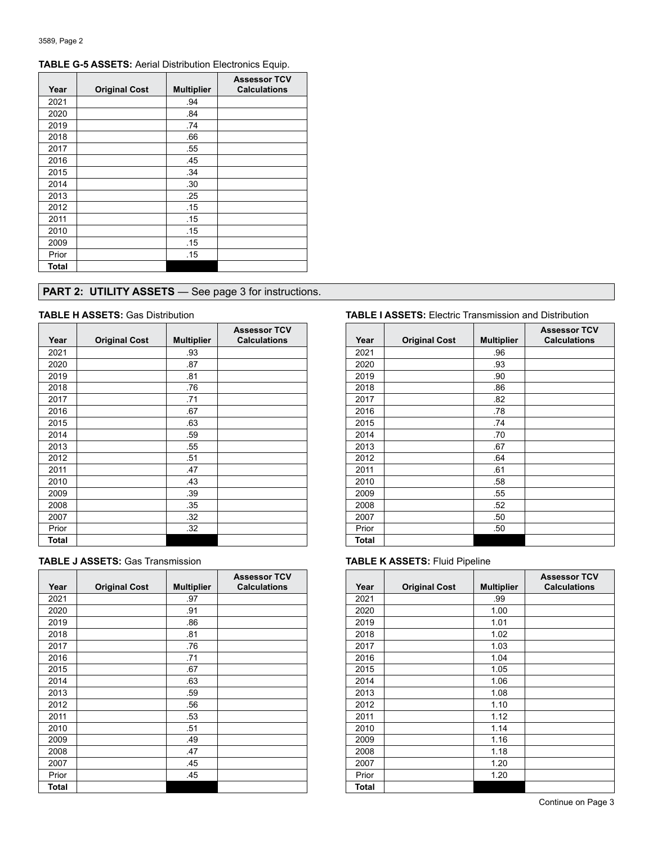| Year         | <b>Original Cost</b> | <b>Multiplier</b> | <b>Assessor TCV</b><br><b>Calculations</b> |
|--------------|----------------------|-------------------|--------------------------------------------|
| 2021         |                      | .94               |                                            |
| 2020         |                      | .84               |                                            |
| 2019         |                      | .74               |                                            |
| 2018         |                      | .66               |                                            |
| 2017         |                      | .55               |                                            |
| 2016         |                      | .45               |                                            |
| 2015         |                      | .34               |                                            |
| 2014         |                      | .30               |                                            |
| 2013         |                      | .25               |                                            |
| 2012         |                      | .15               |                                            |
| 2011         |                      | .15               |                                            |
| 2010         |                      | .15               |                                            |
| 2009         |                      | .15               |                                            |
| Prior        |                      | .15               |                                            |
| <b>Total</b> |                      |                   |                                            |

## **TABLE G-5 ASSETS:** Aerial Distribution Electronics Equip.

## **PART 2: UTILITY ASSETS** — See page 3 for instructions.

| Year  | <b>Original Cost</b> | <b>Multiplier</b> | <b>Assessor TCV</b><br><b>Calculations</b> |
|-------|----------------------|-------------------|--------------------------------------------|
| 2021  |                      | .93               |                                            |
| 2020  |                      | .87               |                                            |
| 2019  |                      | .81               |                                            |
| 2018  |                      | .76               |                                            |
| 2017  |                      | .71               |                                            |
| 2016  |                      | .67               |                                            |
| 2015  |                      | .63               |                                            |
| 2014  |                      | .59               |                                            |
| 2013  |                      | .55               |                                            |
| 2012  |                      | .51               |                                            |
| 2011  |                      | .47               |                                            |
| 2010  |                      | .43               |                                            |
| 2009  |                      | .39               |                                            |
| 2008  |                      | .35               |                                            |
| 2007  |                      | .32               |                                            |
| Prior |                      | .32               |                                            |
| Total |                      |                   |                                            |

| <b>TABLE J ASSETS: Gas Transmission</b> |  |
|-----------------------------------------|--|
|-----------------------------------------|--|

| Year  | <b>Original Cost</b> | <b>Multiplier</b> | <b>Assessor TCV</b><br><b>Calculations</b> |
|-------|----------------------|-------------------|--------------------------------------------|
| 2021  |                      | .97               |                                            |
| 2020  |                      | .91               |                                            |
| 2019  |                      | .86               |                                            |
| 2018  |                      | .81               |                                            |
| 2017  |                      | .76               |                                            |
| 2016  |                      | .71               |                                            |
| 2015  |                      | .67               |                                            |
| 2014  |                      | .63               |                                            |
| 2013  |                      | .59               |                                            |
| 2012  |                      | .56               |                                            |
| 2011  |                      | .53               |                                            |
| 2010  |                      | .51               |                                            |
| 2009  |                      | .49               |                                            |
| 2008  |                      | .47               |                                            |
| 2007  |                      | .45               |                                            |
| Prior |                      | .45               |                                            |
| Total |                      |                   |                                            |

### **TABLE H ASSETS:** Gas Distribution **TABLE I ASSETS:** Electric Transmission and Distribution

| Year  | <b>Original Cost</b> | <b>Multiplier</b> | <b>Assessor TCV</b><br><b>Calculations</b> |
|-------|----------------------|-------------------|--------------------------------------------|
| 2021  |                      | .96               |                                            |
| 2020  |                      | .93               |                                            |
| 2019  |                      | .90               |                                            |
| 2018  |                      | .86               |                                            |
| 2017  |                      | .82               |                                            |
| 2016  |                      | .78               |                                            |
| 2015  |                      | .74               |                                            |
| 2014  |                      | .70               |                                            |
| 2013  |                      | .67               |                                            |
| 2012  |                      | .64               |                                            |
| 2011  |                      | .61               |                                            |
| 2010  |                      | .58               |                                            |
| 2009  |                      | .55               |                                            |
| 2008  |                      | .52               |                                            |
| 2007  |                      | .50               |                                            |
| Prior |                      | .50               |                                            |
| Total |                      |                   |                                            |

### **TABLE K ASSETS: Fluid Pipeline**

| Year  | <b>Original Cost</b> | <b>Multiplier</b> | <b>Assessor TCV</b><br><b>Calculations</b> |
|-------|----------------------|-------------------|--------------------------------------------|
| 2021  |                      | .99               |                                            |
| 2020  |                      | 1.00              |                                            |
| 2019  |                      | 1.01              |                                            |
| 2018  |                      | 1.02              |                                            |
| 2017  |                      | 1.03              |                                            |
| 2016  |                      | 1.04              |                                            |
| 2015  |                      | 1.05              |                                            |
| 2014  |                      | 1.06              |                                            |
| 2013  |                      | 1.08              |                                            |
| 2012  |                      | 1.10              |                                            |
| 2011  |                      | 1.12              |                                            |
| 2010  |                      | 1.14              |                                            |
| 2009  |                      | 1.16              |                                            |
| 2008  |                      | 1.18              |                                            |
| 2007  |                      | 1.20              |                                            |
| Prior |                      | 1.20              |                                            |
| Total |                      |                   |                                            |